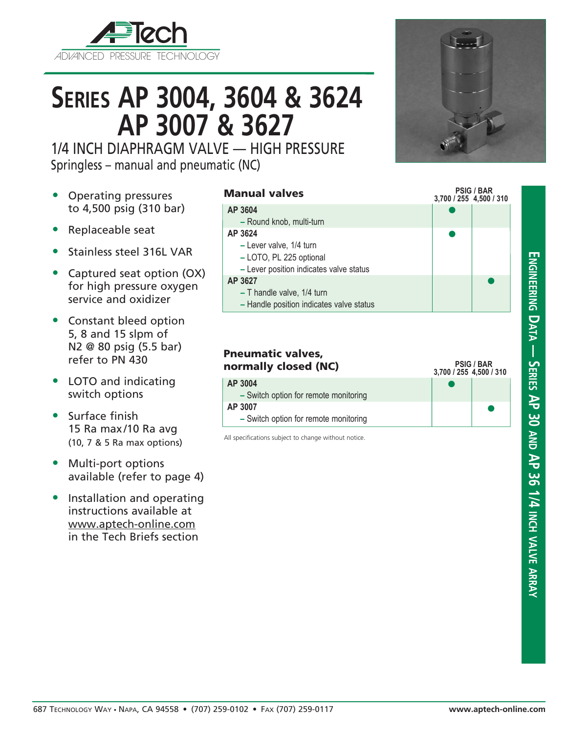

# **Series AP 3004, 3604 & 3624 AP 3007 & 3627**

1/4 INCH DIAPHRAGM VALVE — HIGH PRESSURE Springless – manual and pneumatic (NC)

- Operating pressures to 4,500 psig (310 bar)
- Replaceable seat
- Stainless steel 316L VAR
- Captured seat option (OX) for high pressure oxygen service and oxidizer
- Constant bleed option 5, 8 and 15 slpm of N2 @ 80 psig (5.5 bar) refer to PN 430
- LOTO and indicating switch options
- Surface finish 15 Ra max/10 Ra avg (10, 7 & 5 Ra max options)
- Multi-port options available (refer to page 4)
- Installation and operating instructions available at www.aptech-online.com in the Tech Briefs section

#### Manual valves

#### **3,700 / 255 4,500 / 310**  $\bullet$  $\bullet$  $\bullet$ **AP 3604 –** Round knob, multi-turn **AP 3624 –** Lever valve, 1/4 turn **–** LOTO, PL 225 optional **–** Lever position indicates valve status **AP 3627 –** T handle valve, 1/4 turn **–** Handle position indicates valve status

| <b>Pneumatic valves,</b><br>normally closed (NC) | <b>PSIG / BAR</b><br>3,700 / 255 4,500 / 310 |  |
|--------------------------------------------------|----------------------------------------------|--|
| AP 3004<br>- Switch option for remote monitoring |                                              |  |
| AP 3007                                          |                                              |  |
| - Switch option for remote monitoring            |                                              |  |

All specifications subject to change without notice.



**PSIG / BAR**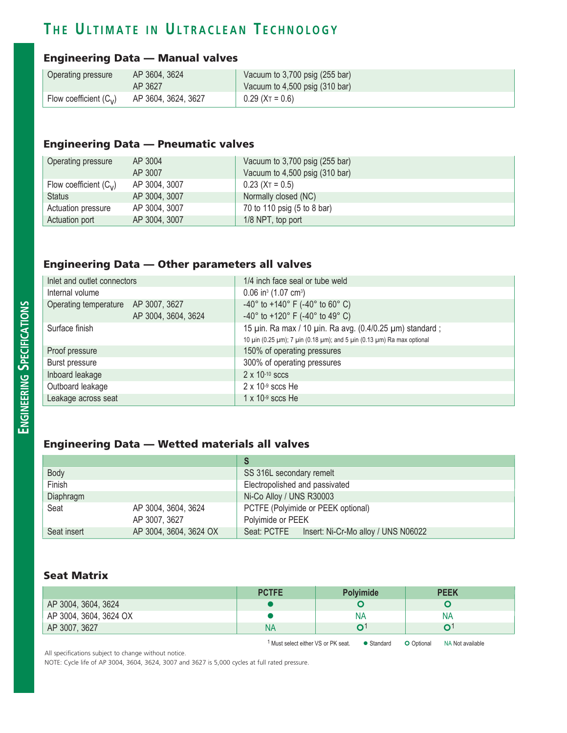## **T h e U l t i m a t e i n U l t r a c l e a n T e c h n o l o g y**

#### Engineering Data — Manual valves

| Operating pressure       | AP 3604, 3624       | Vacuum to $3,700$ psig (255 bar)           |
|--------------------------|---------------------|--------------------------------------------|
|                          | AP 3627             | Vacuum to $4,500$ psig $(310 \text{ bar})$ |
| Flow coefficient $(C_v)$ | AP 3604, 3624, 3627 | $0.29$ (X <sub>T</sub> = 0.6)              |

#### Engineering Data — Pneumatic valves

| Operating pressure       | AP 3004       | Vacuum to 3,700 psig (255 bar) |
|--------------------------|---------------|--------------------------------|
|                          | AP 3007       | Vacuum to 4,500 psig (310 bar) |
| Flow coefficient $(C_v)$ | AP 3004, 3007 | $0.23$ (X <sub>T</sub> = 0.5)  |
| <b>Status</b>            | AP 3004, 3007 | Normally closed (NC)           |
| Actuation pressure       | AP 3004, 3007 | 70 to 110 psig (5 to 8 bar)    |
| Actuation port           | AP 3004, 3007 | 1/8 NPT, top port              |

#### Engineering Data — Other parameters all valves

| Inlet and outlet connectors         |                     | 1/4 inch face seal or tube weld                                         |
|-------------------------------------|---------------------|-------------------------------------------------------------------------|
| Internal volume                     |                     | $0.06$ in <sup>3</sup> (1.07 cm <sup>3</sup> )                          |
| Operating temperature AP 3007, 3627 |                     | -40 $^{\circ}$ to +140 $^{\circ}$ F (-40 $^{\circ}$ to 60 $^{\circ}$ C) |
|                                     | AP 3004, 3604, 3624 | -40 $\degree$ to +120 $\degree$ F (-40 $\degree$ to 49 $\degree$ C)     |
| Surface finish                      |                     | 15 uin. Ra max / 10 uin. Ra avg. (0.4/0.25 um) standard;                |
|                                     |                     | 10 μin (0.25 μm); 7 μin (0.18 μm); and 5 μin (0.13 μm) Ra max optional  |
| Proof pressure                      |                     | 150% of operating pressures                                             |
| Burst pressure                      |                     | 300% of operating pressures                                             |
| Inboard leakage                     |                     | $2 \times 10^{-10}$ sccs                                                |
| Outboard leakage                    |                     | $2 \times 10^{-9}$ sccs He                                              |
| Leakage across seat                 |                     | $1 \times 10^{-9}$ sccs He                                              |

### Engineering Data — Wetted materials all valves

| Body        |                        | SS 316L secondary remelt                        |  |
|-------------|------------------------|-------------------------------------------------|--|
| Finish      |                        | Electropolished and passivated                  |  |
| Diaphragm   |                        | Ni-Co Alloy / UNS R30003                        |  |
| Seat        | AP 3004, 3604, 3624    | PCTFE (Polyimide or PEEK optional)              |  |
|             | AP 3007, 3627          | Polyimide or PEEK                               |  |
| Seat insert | AP 3004, 3604, 3624 OX | Seat: PCTFE Insert: Ni-Cr-Mo alloy / UNS N06022 |  |

#### Seat Matrix

|                        | <b>PCTFE</b> | <b>Polvimide</b> | <b>PEEK</b> |
|------------------------|--------------|------------------|-------------|
| AP 3004, 3604, 3624    |              |                  |             |
| AP 3004, 3604, 3624 OX |              | NΑ               | NA          |
| AP 3007, 3627          | NA           |                  |             |

1 Must select either VS or PK seat.  $\bullet$  Standard  $\bullet$  Optional NA Not available

All specifications subject to change without notice.

NOTE: Cycle life of AP 3004, 3604, 3624, 3007 and 3627 is 5,000 cycles at full rated pressure.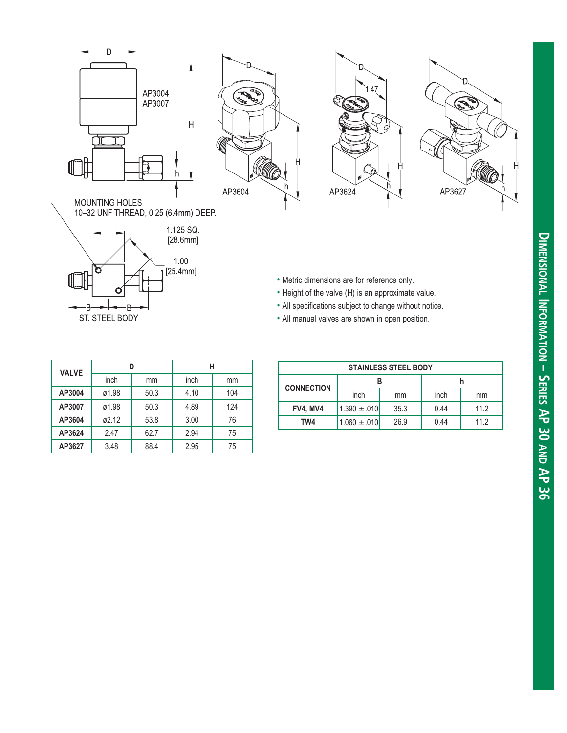







MOUNTING HOLES<br>10–32 UNF THREAD, 0.25 (6.4mm) DEEP.



- Metric dimensions are for reference only.
- Height of the valve (H) is an approximate value.
- All specifications subject to change without notice.
- All manual valves are shown in open position.

| <b>VALVE</b> |       |      | н    |     |
|--------------|-------|------|------|-----|
|              | inch  | mm   | inch | mm  |
| AP3004       | ø1.98 | 50.3 | 4.10 | 104 |
| AP3007       | ø1.98 | 50.3 | 4.89 | 124 |
| AP3604       | ø2.12 | 53.8 | 3.00 | 76  |
| AP3624       | 2.47  | 62.7 | 2.94 | 75  |
| AP3627       | 3.48  | 88.4 | 2.95 | 75  |

| <b>STAINLESS STEEL BODY</b> |                  |      |      |      |
|-----------------------------|------------------|------|------|------|
| <b>CONNECTION</b>           |                  |      |      |      |
|                             | inch             | mm   | inch | mm   |
| FV4, MV4                    | $1.390 \pm .010$ | 35.3 | 0.44 | 11.2 |
| TW4                         | $1.060 \pm .010$ | 26.9 | 0.44 | 11.2 |